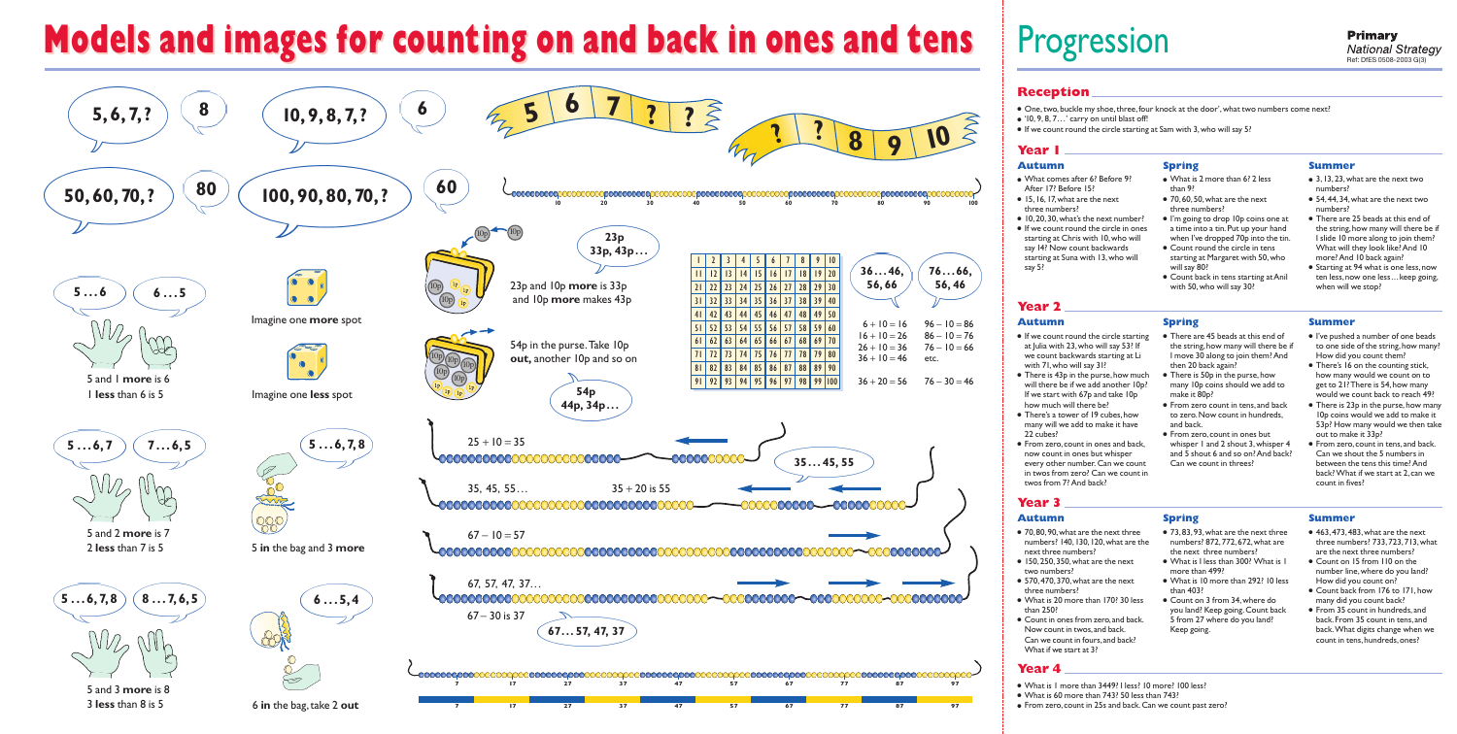## **Models and images for counting on and back in ones and tens**





# Progression

#### **Reception**

- One, two, buckle my shoe, three, four knock at the door', what two numbers come next?
- $\bullet$  '10, 9, 8, 7...' carry on until blast off!
- If we count round the circle starting at Sam with 3, who will say 5?

### Year I

#### **Autumn**

Year 2

**Autumn** 

22 cubes?

Year 3

**Autumn** 

- · What comes after 6? Before 9? After  $17$  Refore  $15$ • 15, 16, 17, what are the next
- three numbers?
- $\bullet$  10, 20, 30, what's the next number? • If we count round the circle in ones starting at Chris with 10, who will
- say 14? Now count backwards starting at Suna with 13, who will say 5?

at Julia with 23, who will say 53? If

with 71, who will say 31?

how much will there be?

twos from 7? And back?

next three numbers?

two numbers?

three numbers?

than 250?

Year 4

we count backwards starting at Li

• There is 43p in the purse, how much

If we start with 67p and take 10p

• There's a tower of 19 cubes, how

many will we add to make it have

• From zero, count in ones and back,

every other number. Can we count

in twos from zero? Can we count in

now count in ones but whisper

• 70,80,90, what are the next three

 $\bullet$  150, 250, 350, what are the next

• 570, 470, 370, what are the next

• What is 20 more than 170? 30 less

• Count in ones from zero, and back.

Can we count in fours, and back?

Now count in twos, and back.

What if we start at 3?

numbers? 140, 130, 120, what are the

will there be if we add another 10p?

#### **Spring**

- What is 2 more than 6? 2 less  $than 9?$
- $\bullet$  70, 60, 50, what are the next three numbers?
- I'm going to drop 10p coins one at a time into a tin. Put up your hand when I've dropped 70p into the tin.
- Count round the circle in tens starting at Margaret with 50, who will say 80?
- Count back in tens starting at Anil with 50, who will say 30?

#### **Spring**

- There are 45 beads at this end of the string, how many will there be if I move 30 along to join them? And then 20 back again?
- many 10p coins should we add to make it 80<sub>p</sub>?
- From zero count in tens, and back to zero. Now count in hundreds, and back.
- From zero, count in ones but whisper 1 and 2 shout 3, whisper 4 Can we count in threes?

#### **Summer**

- 3.13.23, what are the next two numbers<sup>?</sup>
- 54, 44, 34, what are the next two numbers?
- There are 25 beads at this end of the string, how many will there be if I slide 10 more along to join them? What will they look like? And 10 more? And 10 back again?
- Starting at 94 what is one less, now ten less, now one less ... keep going, when will we stop?

#### **Summer**

- I've pushed a number of one beads to one side of the string, how many? How did you count them?
- There's 16 on the counting stick, how many would we count on to get to 21? There is 54, how many would we count back to reach 49?
- There is 23p in the purse, how many IOp coins would we add to make it 53p? How many would we then take out to make it 33<sub>p</sub>?
- From zero, count in tens, and back. Can we shout the 5 numbers in between the tens this time? And back? What if we start at 2, can we count in fives?

#### **Spring**

- 73, 83, 93, what are the next three numbers? 872, 772, 672, what are the next three numbers?
- What is I less than 300? What is I more than 499?
- What is 10 more than 292? 10 less than 403?
- Count on 3 from 34, where do you land? Keep going. Count back 5 from 27 where do you land? Keep going.

#### **Summer**

- 463, 473, 483, what are the next three numbers? 733, 723, 713, what are the next three numbers?
- Count on 15 from 110 on the number line, where do you land? How did you count on?
- Count back from 176 to 171, how many did you count back?
- From 35 count in hundreds, and back. From 35 count in tens, and back. What digits change when we count in tens, hundreds, ones?

- What is 1 more than 3449? I less? 10 more? 100 less?
- What is 60 more than  $743$ ? 50 less than  $743$ ?
- From zero, count in 25s and back. Can we count past zero?

• If we count round the circle starting

## • There is 50p in the purse, how

- 
- and 5 shout 6 and so on? And back?